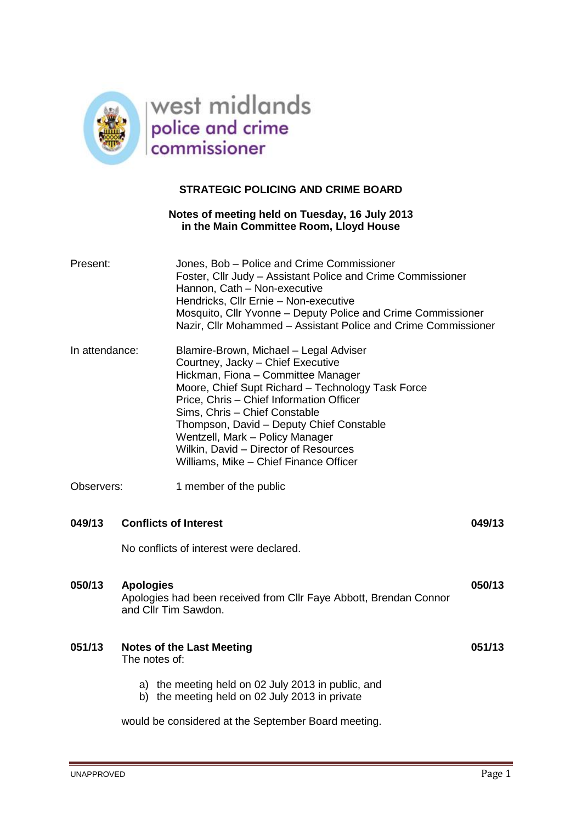

# **STRATEGIC POLICING AND CRIME BOARD**

## **Notes of meeting held on Tuesday, 16 July 2013 in the Main Committee Room, Lloyd House**

| Present:       |                                                                                                               | Jones, Bob - Police and Crime Commissioner<br>Foster, Cllr Judy - Assistant Police and Crime Commissioner<br>Hannon, Cath - Non-executive<br>Hendricks, Cllr Ernie - Non-executive<br>Mosquito, Cllr Yvonne - Deputy Police and Crime Commissioner<br>Nazir, Cllr Mohammed - Assistant Police and Crime Commissioner                                                                                                  |        |
|----------------|---------------------------------------------------------------------------------------------------------------|-----------------------------------------------------------------------------------------------------------------------------------------------------------------------------------------------------------------------------------------------------------------------------------------------------------------------------------------------------------------------------------------------------------------------|--------|
| In attendance: |                                                                                                               | Blamire-Brown, Michael - Legal Adviser<br>Courtney, Jacky - Chief Executive<br>Hickman, Fiona - Committee Manager<br>Moore, Chief Supt Richard - Technology Task Force<br>Price, Chris - Chief Information Officer<br>Sims, Chris - Chief Constable<br>Thompson, David - Deputy Chief Constable<br>Wentzell, Mark - Policy Manager<br>Wilkin, David - Director of Resources<br>Williams, Mike - Chief Finance Officer |        |
| Observers:     |                                                                                                               | 1 member of the public                                                                                                                                                                                                                                                                                                                                                                                                |        |
| 049/13         | <b>Conflicts of Interest</b>                                                                                  |                                                                                                                                                                                                                                                                                                                                                                                                                       | 049/13 |
|                | No conflicts of interest were declared.                                                                       |                                                                                                                                                                                                                                                                                                                                                                                                                       |        |
| 050/13         | <b>Apologies</b><br>Apologies had been received from Cllr Faye Abbott, Brendan Connor<br>and Cllr Tim Sawdon. |                                                                                                                                                                                                                                                                                                                                                                                                                       | 050/13 |
| 051/13         | <b>Notes of the Last Meeting</b><br>The notes of:                                                             |                                                                                                                                                                                                                                                                                                                                                                                                                       | 051/13 |
|                |                                                                                                               | a) the meeting held on 02 July 2013 in public, and<br>b) the meeting held on 02 July 2013 in private                                                                                                                                                                                                                                                                                                                  |        |
|                | would be considered at the September Board meeting.                                                           |                                                                                                                                                                                                                                                                                                                                                                                                                       |        |